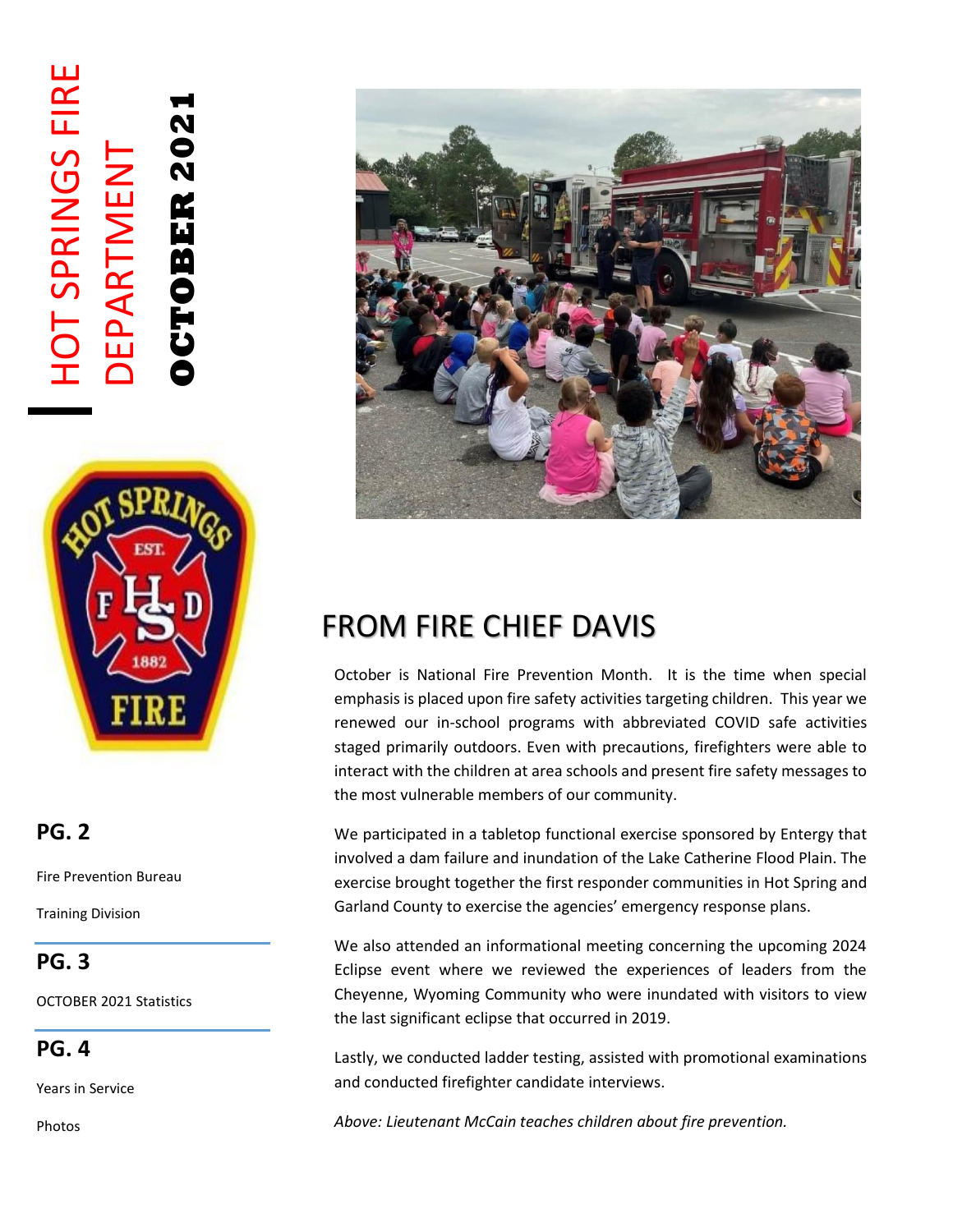# HOT SPRINGS FIRE **HOT SPRINGS FIRE OCTOBER 2021 DCTOBER 202** DEPARTMENT **DEPARTMENT**



### **PG. 2**

Fire Prevention Bureau

Training Division

#### **PG. 3**

OCTOBER 2021 Statistics

**PG. 4**

Years in Service

Photos



# FROM FIRE CHIEF DAVIS

October is National Fire Prevention Month. It is the time when special emphasis is placed upon fire safety activities targeting children. This year we renewed our in-school programs with abbreviated COVID safe activities staged primarily outdoors. Even with precautions, firefighters were able to interact with the children at area schools and present fire safety messages to the most vulnerable members of our community.

We participated in a tabletop functional exercise sponsored by Entergy that involved a dam failure and inundation of the Lake Catherine Flood Plain. The exercise brought together the first responder communities in Hot Spring and Garland County to exercise the agencies' emergency response plans.

We also attended an informational meeting concerning the upcoming 2024 Eclipse event where we reviewed the experiences of leaders from the Cheyenne, Wyoming Community who were inundated with visitors to view the last significant eclipse that occurred in 2019.

Lastly, we conducted ladder testing, assisted with promotional examinations and conducted firefighter candidate interviews.

*Above: Lieutenant McCain teaches children about fire prevention.*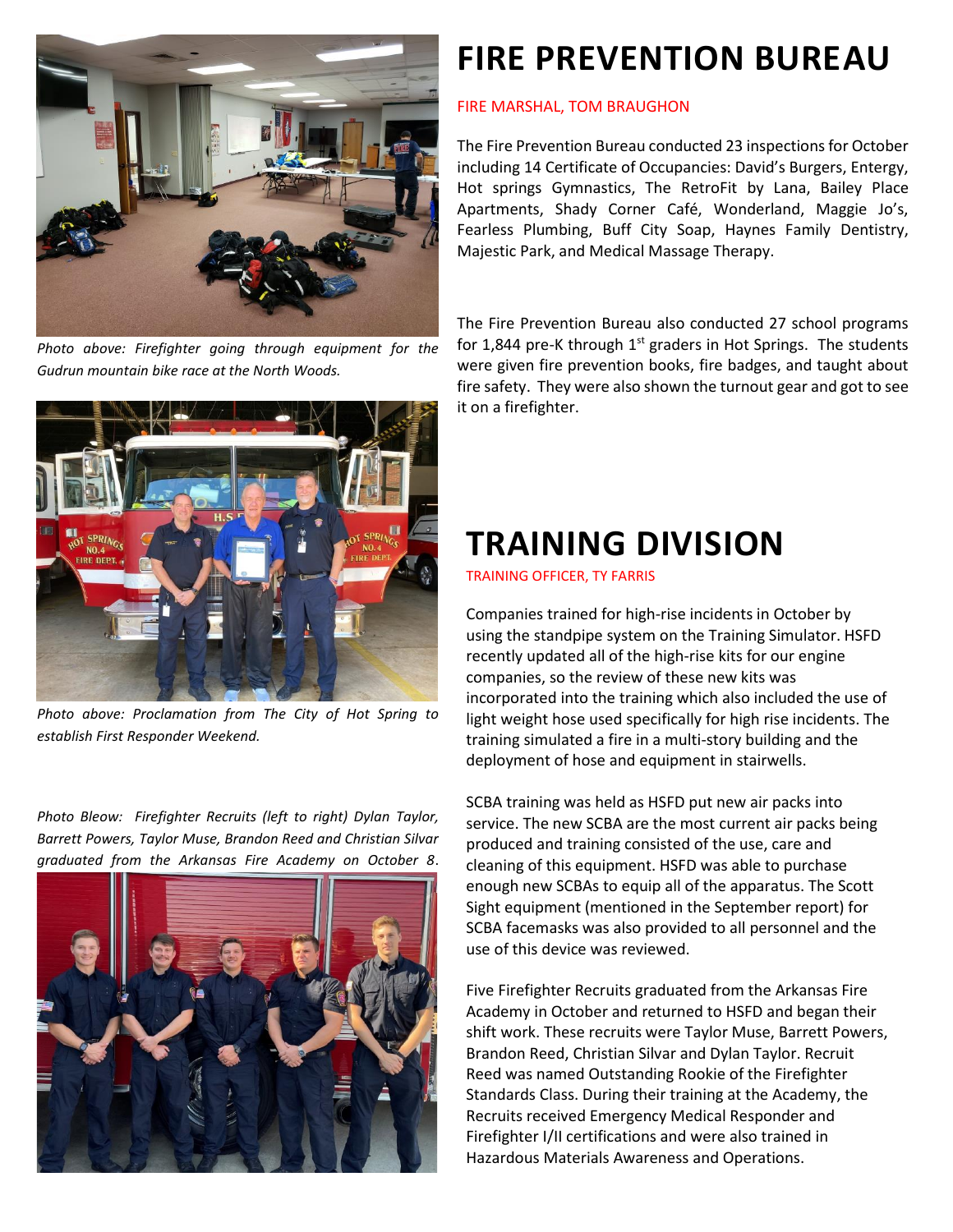

*Photo above: Firefighter going through equipment for the Gudrun mountain bike race at the North Woods.* 



*Photo above: Proclamation from The City of Hot Spring to establish First Responder Weekend.* 

*Photo Bleow: Firefighter Recruits (left to right) Dylan Taylor, Barrett Powers, Taylor Muse, Brandon Reed and Christian Silvar graduated from the Arkansas Fire Academy on October 8*.



## **FIRE PREVENTION BUREAU**

#### FIRE MARSHAL, TOM BRAUGHON

The Fire Prevention Bureau conducted 23 inspections for October including 14 Certificate of Occupancies: David's Burgers, Entergy, Hot springs Gymnastics, The RetroFit by Lana, Bailey Place Apartments, Shady Corner Café, Wonderland, Maggie Jo's, Fearless Plumbing, Buff City Soap, Haynes Family Dentistry, Majestic Park, and Medical Massage Therapy.

The Fire Prevention Bureau also conducted 27 school programs for 1,844 pre-K through  $1<sup>st</sup>$  graders in Hot Springs. The students were given fire prevention books, fire badges, and taught about fire safety. They were also shown the turnout gear and got to see it on a firefighter.

## **TRAINING DIVISION**

TRAINING OFFICER, TY FARRIS

Companies trained for high-rise incidents in October by using the standpipe system on the Training Simulator. HSFD recently updated all of the high-rise kits for our engine companies, so the review of these new kits was incorporated into the training which also included the use of light weight hose used specifically for high rise incidents. The training simulated a fire in a multi-story building and the deployment of hose and equipment in stairwells.

SCBA training was held as HSFD put new air packs into service. The new SCBA are the most current air packs being produced and training consisted of the use, care and cleaning of this equipment. HSFD was able to purchase enough new SCBAs to equip all of the apparatus. The Scott Sight equipment (mentioned in the September report) for SCBA facemasks was also provided to all personnel and the use of this device was reviewed.

Five Firefighter Recruits graduated from the Arkansas Fire Academy in October and returned to HSFD and began their shift work. These recruits were Taylor Muse, Barrett Powers, Brandon Reed, Christian Silvar and Dylan Taylor. Recruit Reed was named Outstanding Rookie of the Firefighter Standards Class. During their training at the Academy, the Recruits received Emergency Medical Responder and Firefighter I/II certifications and were also trained in Hazardous Materials Awareness and Operations.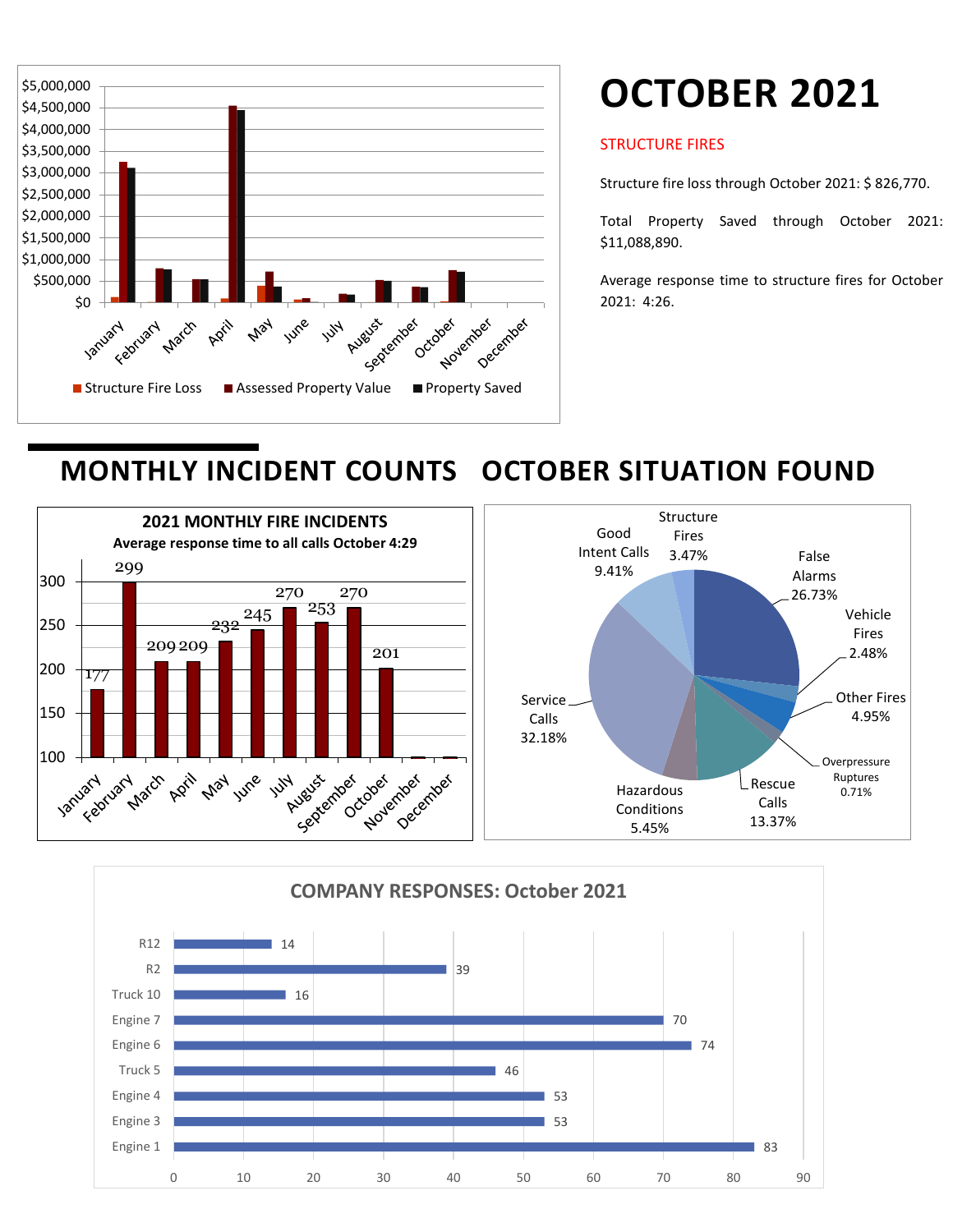

# **OCTOBER 2021**

#### STRUCTURE FIRES

Structure fire loss through October 2021: \$ 826,770.

Total Property Saved through October 2021: \$11,088,890.

Average response time to structure fires for October 2021: 4:26.

### **MONTHLY INCIDENT COUNTS OCTOBER SITUATION FOUND**